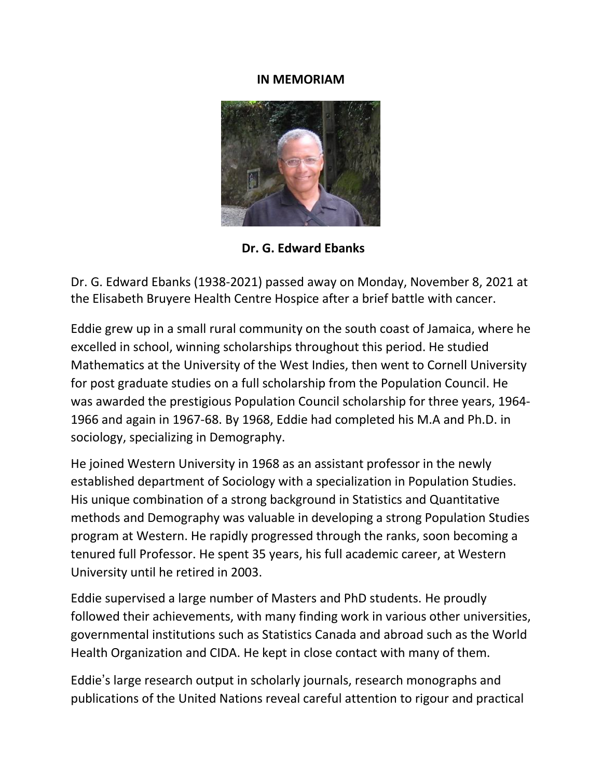## **IN MEMORIAM**



 **Dr. G. Edward Ebanks**

Dr. G. Edward Ebanks (1938-2021) passed away on Monday, November 8, 2021 at the Elisabeth Bruyere Health Centre Hospice after a brief battle with cancer.

Eddie grew up in a small rural community on the south coast of Jamaica, where he excelled in school, winning scholarships throughout this period. He studied Mathematics at the University of the West Indies, then went to Cornell University for post graduate studies on a full scholarship from the Population Council. He was awarded the prestigious Population Council scholarship for three years, 1964- 1966 and again in 1967-68. By 1968, Eddie had completed his M.A and Ph.D. in sociology, specializing in Demography.

He joined Western University in 1968 as an assistant professor in the newly established department of Sociology with a specialization in Population Studies. His unique combination of a strong background in Statistics and Quantitative methods and Demography was valuable in developing a strong Population Studies program at Western. He rapidly progressed through the ranks, soon becoming a tenured full Professor. He spent 35 years, his full academic career, at Western University until he retired in 2003.

Eddie supervised a large number of Masters and PhD students. He proudly followed their achievements, with many finding work in various other universities, governmental institutions such as Statistics Canada and abroad such as the World Health Organization and CIDA. He kept in close contact with many of them.

Eddie's large research output in scholarly journals, research monographs and publications of the United Nations reveal careful attention to rigour and practical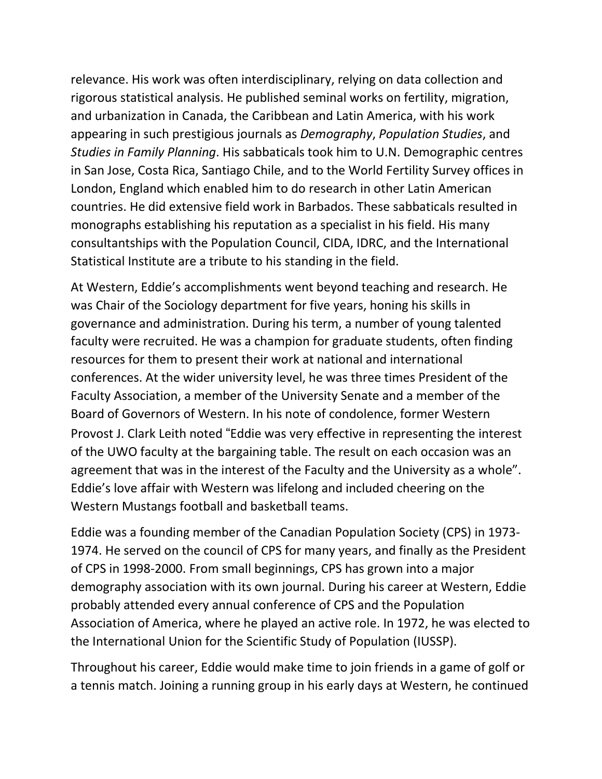relevance. His work was often interdisciplinary, relying on data collection and rigorous statistical analysis. He published seminal works on fertility, migration, and urbanization in Canada, the Caribbean and Latin America, with his work appearing in such prestigious journals as *Demography*, *Population Studies*, and *Studies in Family Planning*. His sabbaticals took him to U.N. Demographic centres in San Jose, Costa Rica, Santiago Chile, and to the World Fertility Survey offices in London, England which enabled him to do research in other Latin American countries. He did extensive field work in Barbados. These sabbaticals resulted in monographs establishing his reputation as a specialist in his field. His many consultantships with the Population Council, CIDA, IDRC, and the International Statistical Institute are a tribute to his standing in the field.

At Western, Eddie's accomplishments went beyond teaching and research. He was Chair of the Sociology department for five years, honing his skills in governance and administration. During his term, a number of young talented faculty were recruited. He was a champion for graduate students, often finding resources for them to present their work at national and international conferences. At the wider university level, he was three times President of the Faculty Association, a member of the University Senate and a member of the Board of Governors of Western. In his note of condolence, former Western Provost J. Clark Leith noted "Eddie was very effective in representing the interest of the UWO faculty at the bargaining table. The result on each occasion was an agreement that was in the interest of the Faculty and the University as a whole". Eddie's love affair with Western was lifelong and included cheering on the Western Mustangs football and basketball teams.

Eddie was a founding member of the Canadian Population Society (CPS) in 1973- 1974. He served on the council of CPS for many years, and finally as the President of CPS in 1998-2000. From small beginnings, CPS has grown into a major demography association with its own journal. During his career at Western, Eddie probably attended every annual conference of CPS and the Population Association of America, where he played an active role. In 1972, he was elected to the International Union for the Scientific Study of Population (IUSSP).

Throughout his career, Eddie would make time to join friends in a game of golf or a tennis match. Joining a running group in his early days at Western, he continued